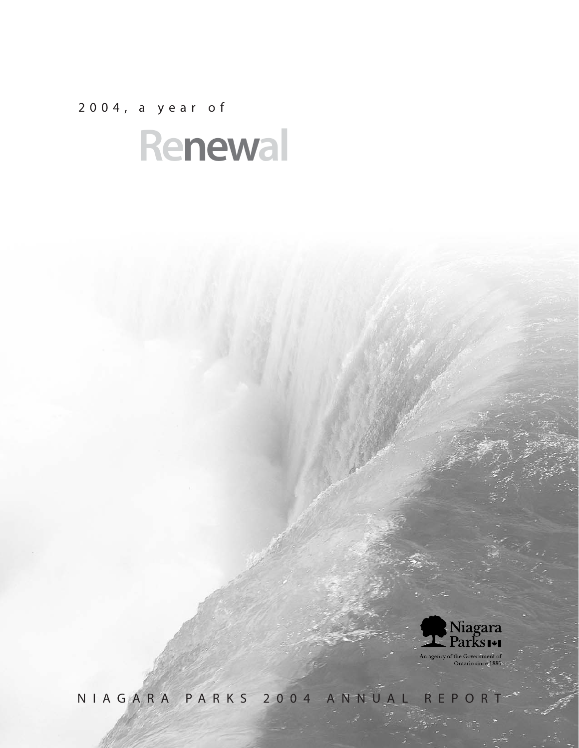2004, a year of





NIAGARA PARKS 2004 ANNUAL REPORT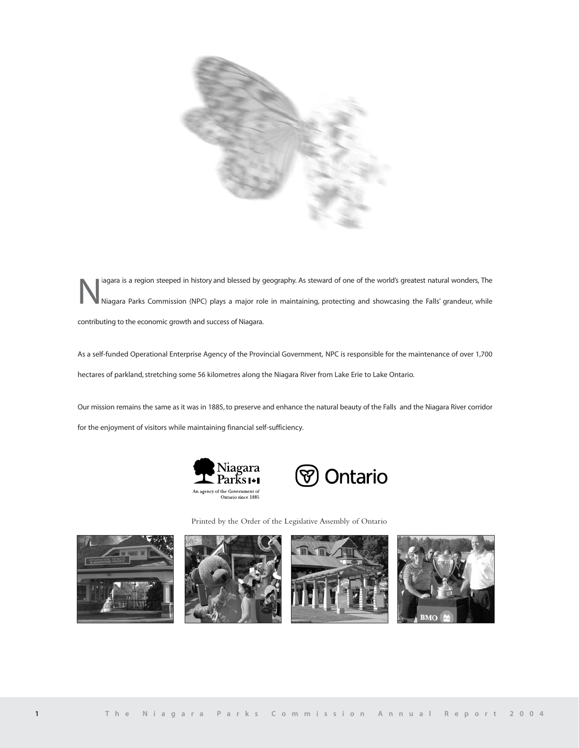

lagara is a region steeped in history and blessed by geography. As steward of one of the world's greatest natural wonders, The<br>Niagara Parks Commission (NPC) plays a major role in maintaining, protecting and showcasing the contributing to the economic growth and success of Niagara.

As a self-funded Operational Enterprise Agency of the Provincial Government, NPC is responsible for the maintenance of over 1,700 hectares of parkland, stretching some 56 kilometres along the Niagara River from Lake Erie to Lake Ontario.

Our mission remains the same as it was in 1885, to preserve and enhance the natural beauty of the Falls and the Niagara River corridor for the enjoyment of visitors while maintaining financial self-sufficiency.





Printed by the Order of the Legislative Assembly of Ontario







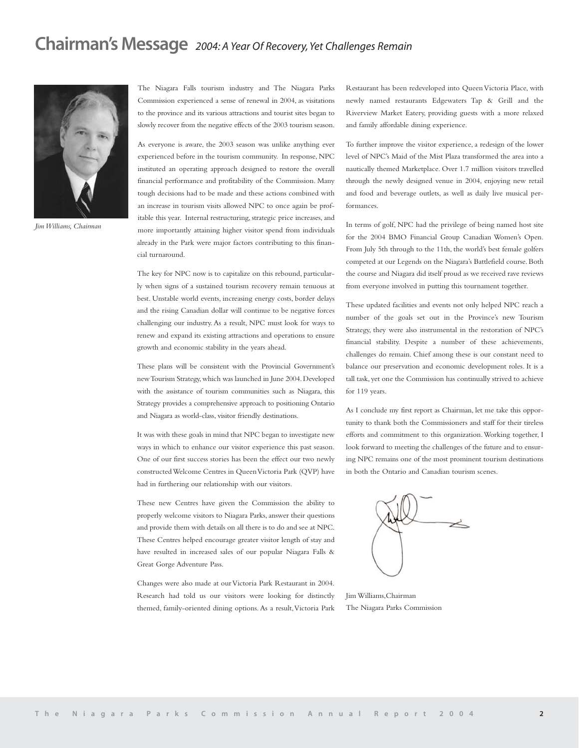# **Chairman's Message** *2004: A Year Of Recovery, Yet Challenges Remain*



*Jim Williams, Chairman*

The Niagara Falls tourism industry and The Niagara Parks Commission experienced a sense of renewal in 2004, as visitations to the province and its various attractions and tourist sites began to slowly recover from the negative effects of the 2003 tourism season.

As everyone is aware, the 2003 season was unlike anything ever experienced before in the tourism community. In response, NPC instituted an operating approach designed to restore the overall financial performance and profitability of the Commission. Many tough decisions had to be made and these actions combined with an increase in tourism visits allowed NPC to once again be profitable this year. Internal restructuring, strategic price increases, and more importantly attaining higher visitor spend from individuals already in the Park were major factors contributing to this financial turnaround.

The key for NPC now is to capitalize on this rebound, particularly when signs of a sustained tourism recovery remain tenuous at best. Unstable world events, increasing energy costs, border delays and the rising Canadian dollar will continue to be negative forces challenging our industry. As a result, NPC must look for ways to renew and expand its existing attractions and operations to ensure growth and economic stability in the years ahead.

These plans will be consistent with the Provincial Government's new Tourism Strategy,which was launched in June 2004.Developed with the assistance of tourism communities such as Niagara, this Strategy provides a comprehensive approach to positioning Ontario and Niagara as world-class, visitor friendly destinations.

It was with these goals in mind that NPC began to investigate new ways in which to enhance our visitor experience this past season. One of our first success stories has been the effect our two newly constructed Welcome Centres in Queen Victoria Park (QVP) have had in furthering our relationship with our visitors.

These new Centres have given the Commission the ability to properly welcome visitors to Niagara Parks, answer their questions and provide them with details on all there is to do and see at NPC. These Centres helped encourage greater visitor length of stay and have resulted in increased sales of our popular Niagara Falls & Great Gorge Adventure Pass.

Changes were also made at our Victoria Park Restaurant in 2004. Research had told us our visitors were looking for distinctly themed, family-oriented dining options. As a result,Victoria Park Restaurant has been redeveloped into Queen Victoria Place, with newly named restaurants Edgewaters Tap & Grill and the Riverview Market Eatery, providing guests with a more relaxed and family affordable dining experience.

To further improve the visitor experience, a redesign of the lower level of NPC's Maid of the Mist Plaza transformed the area into a nautically themed Marketplace. Over 1.7 million visitors travelled through the newly designed venue in 2004, enjoying new retail and food and beverage outlets, as well as daily live musical performances.

In terms of golf, NPC had the privilege of being named host site for the 2004 BMO Financial Group Canadian Women's Open. From July 5th through to the 11th, the world's best female golfers competed at our Legends on the Niagara's Battlefield course. Both the course and Niagara did itself proud as we received rave reviews from everyone involved in putting this tournament together.

These updated facilities and events not only helped NPC reach a number of the goals set out in the Province's new Tourism Strategy, they were also instrumental in the restoration of NPC's financial stability. Despite a number of these achievements, challenges do remain. Chief among these is our constant need to balance our preservation and economic development roles. It is a tall task, yet one the Commission has continually strived to achieve for 119 years.

As I conclude my first report as Chairman, let me take this opportunity to thank both the Commissioners and staff for their tireless efforts and commitment to this organization.Working together, I look forward to meeting the challenges of the future and to ensuring NPC remains one of the most prominent tourism destinations in both the Ontario and Canadian tourism scenes.

Jim Williams,Chairman The Niagara Parks Commission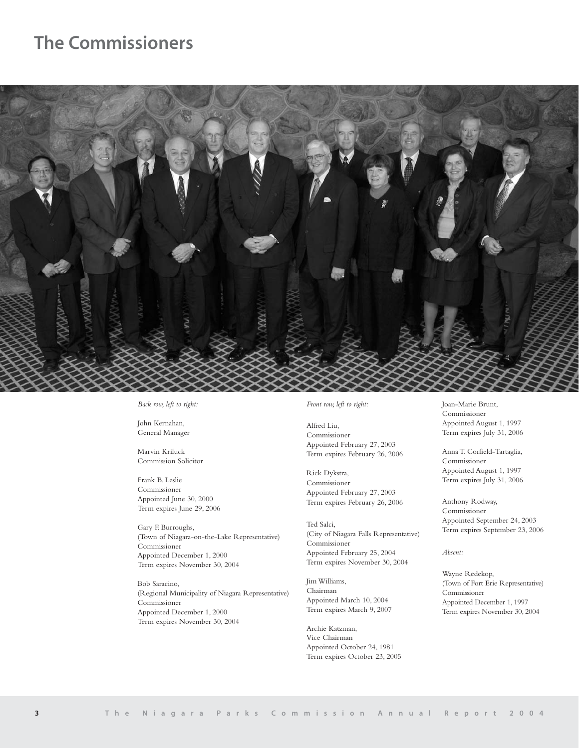# **The Commissioners**



*Back row, left to right:*

John Kernahan, General Manager

Marvin Kriluck Commission Solicitor

Frank B. Leslie Commissioner Appointed June 30, 2000 Term expires June 29, 2006

Gary F. Burroughs, (Town of Niagara-on-the-Lake Representative) Commissioner Appointed December 1, 2000 Term expires November 30, 2004

Bob Saracino, (Regional Municipality of Niagara Representative) Commissioner Appointed December 1, 2000 Term expires November 30, 2004

## *Front row, left to right:*

Alfred Liu, Commissioner Appointed February 27, 2003 Term expires February 26, 2006

Rick Dykstra, Commissioner Appointed February 27, 2003 Term expires February 26, 2006

Ted Salci, (City of Niagara Falls Representative) Commissioner Appointed February 25, 2004 Term expires November 30, 2004

Jim Williams, Chairman Appointed March 10, 2004 Term expires March 9, 2007

Archie Katzman, Vice Chairman Appointed October 24, 1981 Term expires October 23, 2005 Joan-Marie Brunt, Commissioner Appointed August 1, 1997 Term expires July 31, 2006

Anna T. Corfield-Tartaglia, Commissioner Appointed August 1, 1997 Term expires July 31, 2006

Anthony Rodway, Commissioner Appointed September 24, 2003 Term expires September 23, 2006

*Absent:*

Wayne Redekop, (Town of Fort Erie Representative) Commissioner Appointed December 1, 1997 Term expires November 30, 2004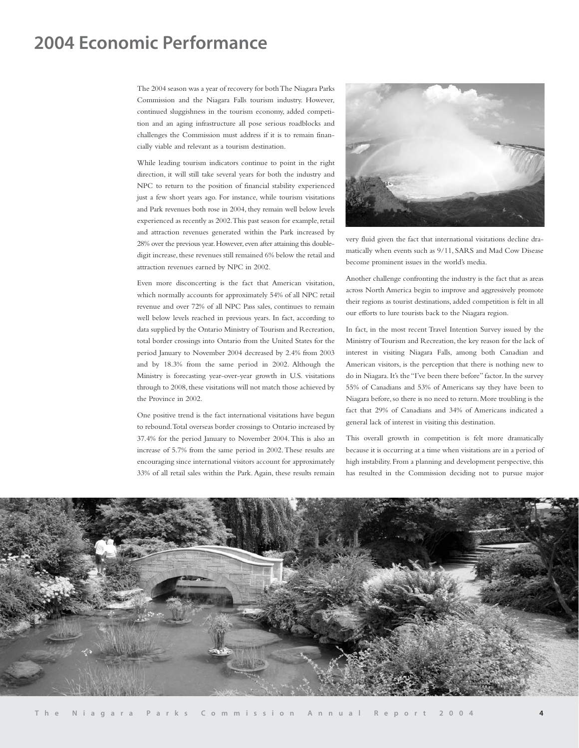# **2004 Economic Performance**

The 2004 season was a year of recovery for both The Niagara Parks Commission and the Niagara Falls tourism industry. However, continued sluggishness in the tourism economy, added competition and an aging infrastructure all pose serious roadblocks and challenges the Commission must address if it is to remain financially viable and relevant as a tourism destination.

While leading tourism indicators continue to point in the right direction, it will still take several years for both the industry and NPC to return to the position of financial stability experienced just a few short years ago. For instance, while tourism visitations and Park revenues both rose in 2004, they remain well below levels experienced as recently as 2002.This past season for example, retail and attraction revenues generated within the Park increased by 28% over the previous year. However, even after attaining this doubledigit increase, these revenues still remained 6% below the retail and attraction revenues earned by NPC in 2002.

Even more disconcerting is the fact that American visitation, which normally accounts for approximately 54% of all NPC retail revenue and over 72% of all NPC Pass sales, continues to remain well below levels reached in previous years. In fact, according to data supplied by the Ontario Ministry of Tourism and Recreation, total border crossings into Ontario from the United States for the period January to November 2004 decreased by 2.4% from 2003 and by 18.3% from the same period in 2002. Although the Ministry is forecasting year-over-year growth in U.S. visitations through to 2008, these visitations will not match those achieved by the Province in 2002.

One positive trend is the fact international visitations have begun to rebound.Total overseas border crossings to Ontario increased by 37.4% for the period January to November 2004. This is also an increase of 5.7% from the same period in 2002.These results are encouraging since international visitors account for approximately 33% of all retail sales within the Park. Again, these results remain



very fluid given the fact that international visitations decline dramatically when events such as 9/11, SARS and Mad Cow Disease become prominent issues in the world's media.

Another challenge confronting the industry is the fact that as areas across North America begin to improve and aggressively promote their regions as tourist destinations, added competition is felt in all our efforts to lure tourists back to the Niagara region.

In fact, in the most recent Travel Intention Survey issued by the Ministry of Tourism and Recreation, the key reason for the lack of interest in visiting Niagara Falls, among both Canadian and American visitors, is the perception that there is nothing new to do in Niagara. It's the "I've been there before" factor. In the survey 55% of Canadians and 53% of Americans say they have been to Niagara before, so there is no need to return. More troubling is the fact that 29% of Canadians and 34% of Americans indicated a general lack of interest in visiting this destination.

This overall growth in competition is felt more dramatically because it is occurring at a time when visitations are in a period of high instability. From a planning and development perspective, this has resulted in the Commission deciding not to pursue major

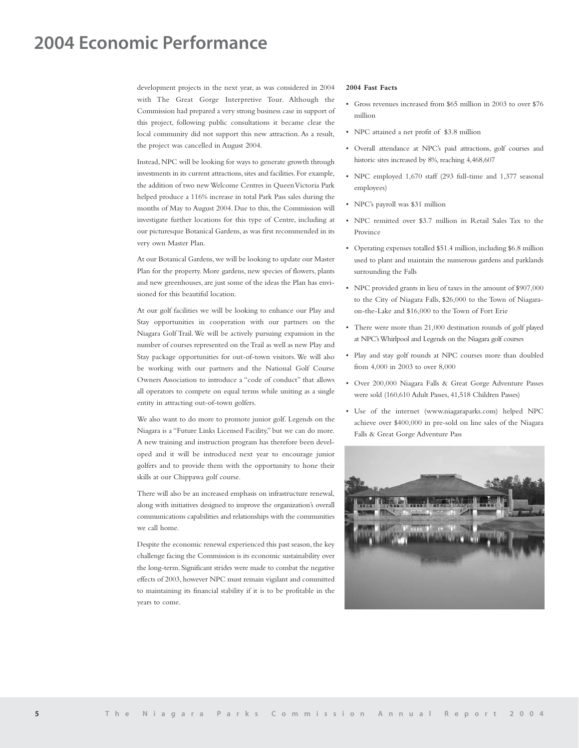# **2004 Economic Performance**

development projects in the next year, as was considered in 2004 with The Great Gorge Interpretive Tour. Although the Commission had prepared a very strong business case in support of this project, following public consultations it became clear the local community did not support this new attraction. As a result, the project was cancelled in August 2004.

Instead, NPC will be looking for ways to generate growth through investments in its current attractions, sites and facilities. For example, the addition of two new Welcome Centres in Queen Victoria Park helped produce a 116% increase in total Park Pass sales during the months of May to August 2004. Due to this, the Commission will investigate further locations for this type of Centre, including at our picturesque Botanical Gardens, as was first recommended in its very own Master Plan.

At our Botanical Gardens, we will be looking to update our Master Plan for the property. More gardens, new species of flowers, plants and new greenhouses, are just some of the ideas the Plan has envisioned for this beautiful location.

At our golf facilities we will be looking to enhance our Play and Stay opportunities in cooperation with our partners on the Niagara Golf Trail.We will be actively pursuing expansion in the number of courses represented on the Trail as well as new Play and Stay package opportunities for out-of-town visitors. We will also be working with our partners and the National Golf Course Owners Association to introduce a "code of conduct" that allows all operators to compete on equal terms while uniting as a single entity in attracting out-of-town golfers.

We also want to do more to promote junior golf. Legends on the Niagara is a "Future Links Licensed Facility," but we can do more. A new training and instruction program has therefore been developed and it will be introduced next year to encourage junior golfers and to provide them with the opportunity to hone their skills at our Chippawa golf course.

There will also be an increased emphasis on infrastructure renewal, along with initiatives designed to improve the organization's overall communications capabilities and relationships with the communities we call home.

Despite the economic renewal experienced this past season, the key challenge facing the Commission is its economic sustainability over the long-term. Significant strides were made to combat the negative effects of 2003, however NPC must remain vigilant and committed to maintaining its financial stability if it is to be profitable in the years to come.

#### **2004 Fast Facts**

- Gross revenues increased from \$65 million in 2003 to over \$76 million
- NPC attained a net profit of \$3.8 million
- Overall attendance at NPC's paid attractions, golf courses and historic sites increased by 8%, reaching 4,468,607
- NPC employed 1,670 staff (293 full-time and 1,377 seasonal employees)
- NPC's payroll was \$31 million
- NPC remitted over \$3.7 million in Retail Sales Tax to the Province
- Operating expenses totalled \$51.4 million, including \$6.8 million used to plant and maintain the numerous gardens and parklands surrounding the Falls
- NPC provided grants in lieu of taxes in the amount of \$907,000 to the City of Niagara Falls, \$26,000 to the Town of Niagaraon-the-Lake and \$16,000 to the Town of Fort Erie
- There were more than 21,000 destination rounds of golf played at NPC's Whirlpool and Legends on the Niagara golf courses
- Play and stay golf rounds at NPC courses more than doubled from 4,000 in 2003 to over 8,000
- Over 200,000 Niagara Falls & Great Gorge Adventure Passes were sold (160,610 Adult Passes, 41,518 Children Passes)
- Use of the internet (www.niagaraparks.com) helped NPC achieve over \$400,000 in pre-sold on line sales of the Niagara Falls & Great Gorge Adventure Pass

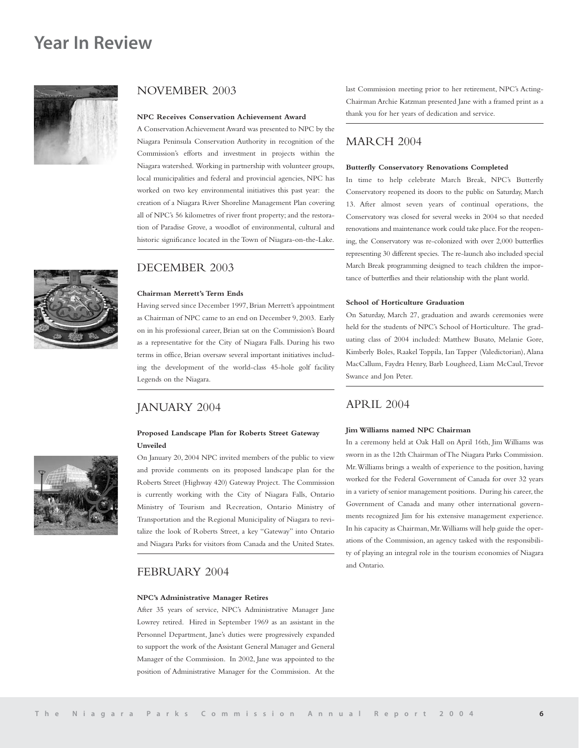## **Year In Review**





## NOVEMBER 2003

#### **NPC Receives Conservation Achievement Award**

A Conservation Achievement Award was presented to NPC by the Niagara Peninsula Conservation Authority in recognition of the Commission's efforts and investment in projects within the Niagara watershed. Working in partnership with volunteer groups, local municipalities and federal and provincial agencies, NPC has worked on two key environmental initiatives this past year: the creation of a Niagara River Shoreline Management Plan covering all of NPC's 56 kilometres of river front property; and the restoration of Paradise Grove, a woodlot of environmental, cultural and historic significance located in the Town of Niagara-on-the-Lake.

## DECEMBER 2003

#### **Chairman Merrett's Term Ends**

Having served since December 1997, Brian Merrett's appointment as Chairman of NPC came to an end on December 9, 2003. Early on in his professional career, Brian sat on the Commission's Board as a representative for the City of Niagara Falls. During his two terms in office, Brian oversaw several important initiatives including the development of the world-class 45-hole golf facility Legends on the Niagara.

## JANUARY 2004

## **Proposed Landscape Plan for Roberts Street Gateway Unveiled**

On January 20, 2004 NPC invited members of the public to view and provide comments on its proposed landscape plan for the Roberts Street (Highway 420) Gateway Project. The Commission is currently working with the City of Niagara Falls, Ontario Ministry of Tourism and Recreation, Ontario Ministry of Transportation and the Regional Municipality of Niagara to revitalize the look of Roberts Street, a key "Gateway" into Ontario and Niagara Parks for visitors from Canada and the United States.

## FEBRUARY 2004

## **NPC's Administrative Manager Retires**

After 35 years of service, NPC's Administrative Manager Jane Lowrey retired. Hired in September 1969 as an assistant in the Personnel Department, Jane's duties were progressively expanded to support the work of the Assistant General Manager and General Manager of the Commission. In 2002, Jane was appointed to the position of Administrative Manager for the Commission. At the last Commission meeting prior to her retirement, NPC's Acting-Chairman Archie Katzman presented Jane with a framed print as a thank you for her years of dedication and service.

## MARCH 2004

## **Butterfly Conservatory Renovations Completed**

In time to help celebrate March Break, NPC's Butterfly Conservatory reopened its doors to the public on Saturday, March 13. After almost seven years of continual operations, the Conservatory was closed for several weeks in 2004 so that needed renovations and maintenance work could take place.For the reopening, the Conservatory was re-colonized with over 2,000 butterflies representing 30 different species. The re-launch also included special March Break programming designed to teach children the importance of butterflies and their relationship with the plant world.

## **School of Horticulture Graduation**

On Saturday, March 27, graduation and awards ceremonies were held for the students of NPC's School of Horticulture. The graduating class of 2004 included: Matthew Busato, Melanie Gore, Kimberly Boles, Raakel Toppila, Ian Tapper (Valedictorian), Alana MacCallum, Faydra Henry, Barb Lougheed, Liam McCaul,Trevor Swance and Jon Peter.

## APRIL 2004

## **Jim Williams named NPC Chairman**

In a ceremony held at Oak Hall on April 16th, Jim Williams was sworn in as the 12th Chairman of The Niagara Parks Commission. Mr.Williams brings a wealth of experience to the position, having worked for the Federal Government of Canada for over 32 years in a variety of senior management positions. During his career, the Government of Canada and many other international governments recognized Jim for his extensive management experience. In his capacity as Chairman, Mr.Williams will help guide the operations of the Commission, an agency tasked with the responsibility of playing an integral role in the tourism economies of Niagara and Ontario.

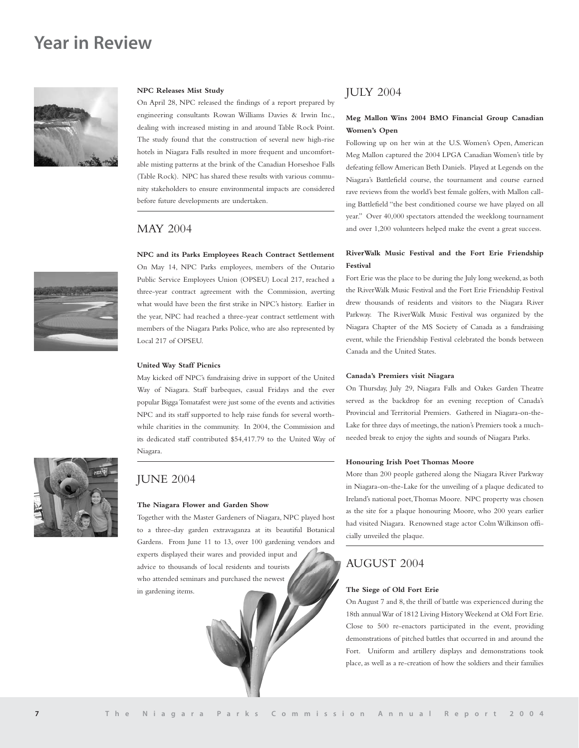## **Year in Review**



## **NPC Releases Mist Study**

On April 28, NPC released the findings of a report prepared by engineering consultants Rowan Williams Davies & Irwin Inc., dealing with increased misting in and around Table Rock Point. The study found that the construction of several new high-rise hotels in Niagara Falls resulted in more frequent and uncomfortable misting patterns at the brink of the Canadian Horseshoe Falls (Table Rock). NPC has shared these results with various community stakeholders to ensure environmental impacts are considered before future developments are undertaken.

## MAY 2004

## **NPC and its Parks Employees Reach Contract Settlement**

On May 14, NPC Parks employees, members of the Ontario Public Service Employees Union (OPSEU) Local 217, reached a three-year contract agreement with the Commission, averting what would have been the first strike in NPC's history. Earlier in the year, NPC had reached a three-year contract settlement with members of the Niagara Parks Police, who are also represented by Local 217 of OPSEU.

#### **United Way Staff Picnics**

May kicked off NPC's fundraising drive in support of the United Way of Niagara. Staff barbeques, casual Fridays and the ever popular Bigga Tomatafest were just some of the events and activities NPC and its staff supported to help raise funds for several worthwhile charities in the community. In 2004, the Commission and its dedicated staff contributed \$54,417.79 to the United Way of Niagara.



## JUNE 2004

#### **The Niagara Flower and Garden Show**

Together with the Master Gardeners of Niagara, NPC played host to a three-day garden extravaganza at its beautiful Botanical Gardens. From June 11 to 13, over 100 gardening vendors and experts displayed their wares and provided input and advice to thousands of local residents and tourists who attended seminars and purchased the newest in gardening items.

## JULY 2004

## **Meg Mallon Wins 2004 BMO Financial Group Canadian Women's Open**

Following up on her win at the U.S. Women's Open, American Meg Mallon captured the 2004 LPGA Canadian Women's title by defeating fellow American Beth Daniels. Played at Legends on the Niagara's Battlefield course, the tournament and course earned rave reviews from the world's best female golfers, with Mallon calling Battlefield "the best conditioned course we have played on all year." Over 40,000 spectators attended the weeklong tournament and over 1,200 volunteers helped make the event a great success.

## **RiverWalk Music Festival and the Fort Erie Friendship Festival**

Fort Erie was the place to be during the July long weekend, as both the RiverWalk Music Festival and the Fort Erie Friendship Festival drew thousands of residents and visitors to the Niagara River Parkway. The RiverWalk Music Festival was organized by the Niagara Chapter of the MS Society of Canada as a fundraising event, while the Friendship Festival celebrated the bonds between Canada and the United States.

#### **Canada's Premiers visit Niagara**

On Thursday, July 29, Niagara Falls and Oakes Garden Theatre served as the backdrop for an evening reception of Canada's Provincial and Territorial Premiers. Gathered in Niagara-on-the-Lake for three days of meetings, the nation's Premiers took a muchneeded break to enjoy the sights and sounds of Niagara Parks.

#### **Honouring Irish Poet Thomas Moore**

More than 200 people gathered along the Niagara River Parkway in Niagara-on-the-Lake for the unveiling of a plaque dedicated to Ireland's national poet,Thomas Moore. NPC property was chosen as the site for a plaque honouring Moore, who 200 years earlier had visited Niagara. Renowned stage actor Colm Wilkinson officially unveiled the plaque.

## AUGUST 2004

#### **The Siege of Old Fort Erie**

On August 7 and 8, the thrill of battle was experienced during the 18th annual War of 1812 Living History Weekend at Old Fort Erie. Close to 500 re-enactors participated in the event, providing demonstrations of pitched battles that occurred in and around the Fort. Uniform and artillery displays and demonstrations took place, as well as a re-creation of how the soldiers and their families

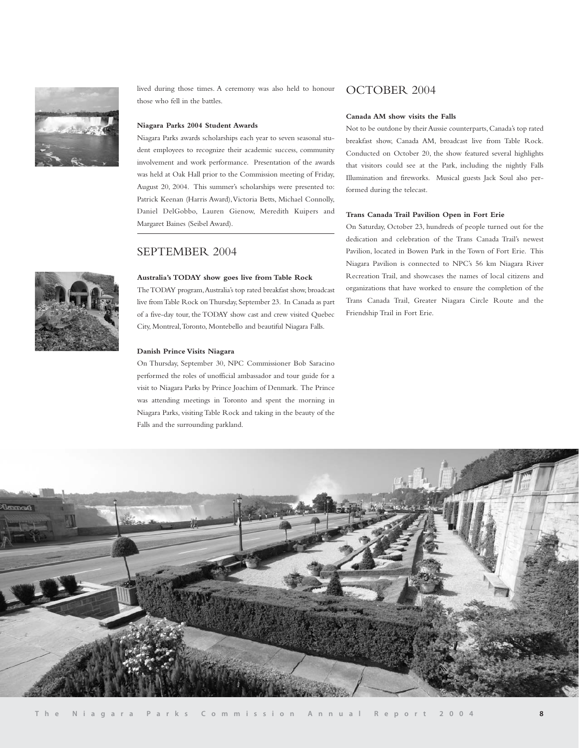

lived during those times. A ceremony was also held to honour those who fell in the battles.

## **Niagara Parks 2004 Student Awards**

Niagara Parks awards scholarships each year to seven seasonal student employees to recognize their academic success, community involvement and work performance. Presentation of the awards was held at Oak Hall prior to the Commission meeting of Friday, August 20, 2004. This summer's scholarships were presented to: Patrick Keenan (Harris Award),Victoria Betts, Michael Connolly, Daniel DelGobbo, Lauren Gienow, Meredith Kuipers and Margaret Baines (Seibel Award).

## SEPTEMBER 2004

## **Australia's TODAY show goes live from Table Rock**

The TODAY program,Australia's top rated breakfast show, broadcast live from Table Rock on Thursday, September 23. In Canada as part of a five-day tour, the TODAY show cast and crew visited Quebec City, Montreal,Toronto, Montebello and beautiful Niagara Falls.

#### **Danish Prince Visits Niagara**

On Thursday, September 30, NPC Commissioner Bob Saracino performed the roles of unofficial ambassador and tour guide for a visit to Niagara Parks by Prince Joachim of Denmark. The Prince was attending meetings in Toronto and spent the morning in Niagara Parks, visiting Table Rock and taking in the beauty of the Falls and the surrounding parkland.

## OCTOBER 2004

#### **Canada AM show visits the Falls**

Not to be outdone by their Aussie counterparts, Canada's top rated breakfast show, Canada AM, broadcast live from Table Rock. Conducted on October 20, the show featured several highlights that visitors could see at the Park, including the nightly Falls Illumination and fireworks. Musical guests Jack Soul also performed during the telecast.

## **Trans Canada Trail Pavilion Open in Fort Erie**

On Saturday, October 23, hundreds of people turned out for the dedication and celebration of the Trans Canada Trail's newest Pavilion, located in Bowen Park in the Town of Fort Erie. This Niagara Pavilion is connected to NPC's 56 km Niagara River Recreation Trail, and showcases the names of local citizens and organizations that have worked to ensure the completion of the Trans Canada Trail, Greater Niagara Circle Route and the Friendship Trail in Fort Erie.



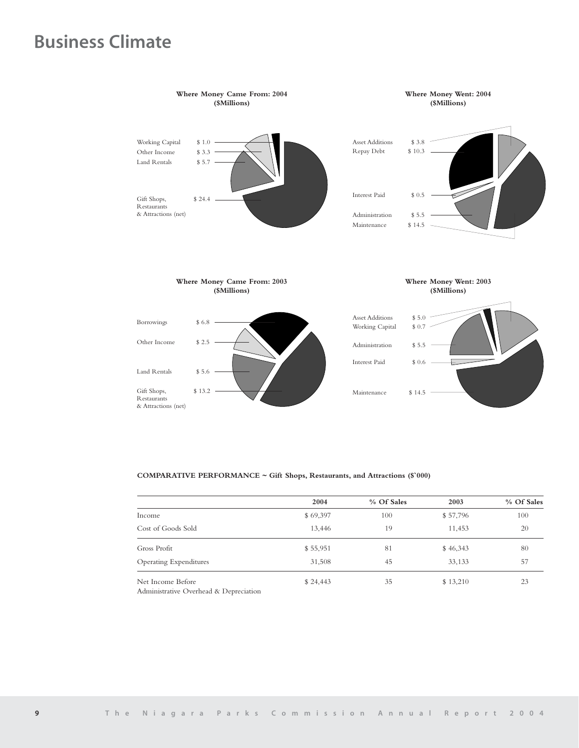# **Business Climate**



## **COMPARATIVE PERFORMANCE ~ Gift Shops, Restaurants, and Attractions (\$`000)**

|                                                             | 2004     | % Of Sales | 2003     | % Of Sales |
|-------------------------------------------------------------|----------|------------|----------|------------|
| Income                                                      | \$69,397 | 100        | \$57,796 | 100        |
| Cost of Goods Sold                                          | 13,446   | 19         | 11,453   | 20         |
| Gross Profit                                                | \$55,951 | 81         | \$46,343 | 80         |
| <b>Operating Expenditures</b>                               | 31,508   | 45         | 33,133   | 57         |
| Net Income Before<br>Administrative Overhead & Depreciation | \$24,443 | 35         | \$13,210 | 23         |

Administrative Overhead & Depreciation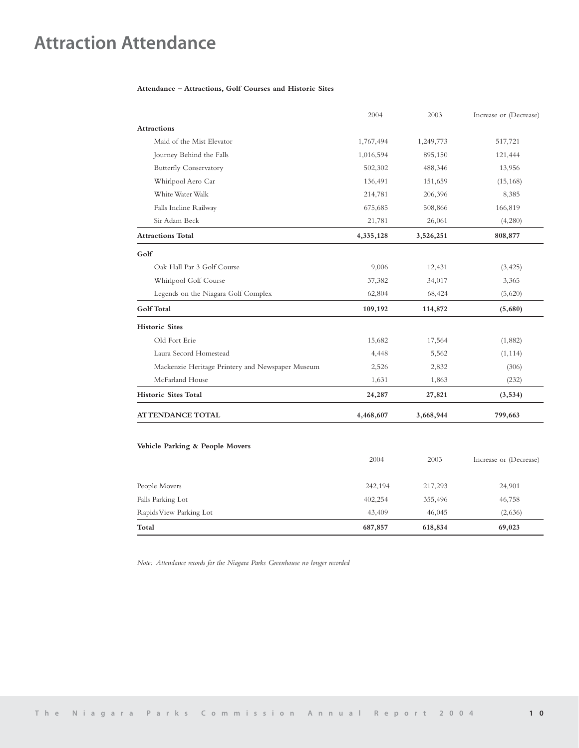# **Attraction Attendance**

## **Attendance – Attractions, Golf Courses and Historic Sites**

|                                                  | 2004      | 2003      | Increase or (Decrease) |
|--------------------------------------------------|-----------|-----------|------------------------|
| <b>Attractions</b>                               |           |           |                        |
| Maid of the Mist Elevator                        | 1,767,494 | 1,249,773 | 517,721                |
| Journey Behind the Falls                         | 1,016,594 | 895,150   | 121,444                |
| <b>Butterfly Conservatory</b>                    | 502,302   | 488,346   | 13,956                 |
| Whirlpool Aero Car                               | 136,491   | 151,659   | (15, 168)              |
| White Water Walk                                 | 214,781   | 206,396   | 8,385                  |
| Falls Incline Railway                            | 675,685   | 508,866   | 166,819                |
| Sir Adam Beck                                    | 21,781    | 26,061    | (4,280)                |
| <b>Attractions Total</b>                         | 4,335,128 | 3,526,251 | 808,877                |
| Golf                                             |           |           |                        |
| Oak Hall Par 3 Golf Course                       | 9,006     | 12,431    | (3, 425)               |
| Whirlpool Golf Course                            | 37,382    | 34,017    | 3,365                  |
| Legends on the Niagara Golf Complex              | 62,804    | 68,424    | (5,620)                |
| <b>Golf Total</b>                                | 109,192   | 114,872   | (5,680)                |
| <b>Historic Sites</b>                            |           |           |                        |
| Old Fort Erie                                    | 15,682    | 17,564    | (1,882)                |
| Laura Secord Homestead                           | 4,448     | 5,562     | (1, 114)               |
| Mackenzie Heritage Printery and Newspaper Museum | 2,526     | 2,832     | (306)                  |
| McFarland House                                  | 1,631     | 1,863     | (232)                  |
| <b>Historic Sites Total</b>                      | 24,287    | 27,821    | (3,534)                |
| <b>ATTENDANCE TOTAL</b>                          | 4,468,607 | 3,668,944 | 799,663                |
| Vehicle Parking & People Movers                  |           |           |                        |
|                                                  | 2004      | 2003      | Increase or (Decrease) |
| People Movers                                    | 242,194   | 217,293   | 24,901                 |
| Falls Parking Lot                                | 402,254   | 355,496   | 46,758                 |
| Rapids View Parking Lot                          | 43,409    | 46,045    | (2,636)                |
| Total                                            | 687,857   | 618,834   | 69,023                 |

*Note: Attendance records for the Niagara Parks Greenhouse no longer recorded*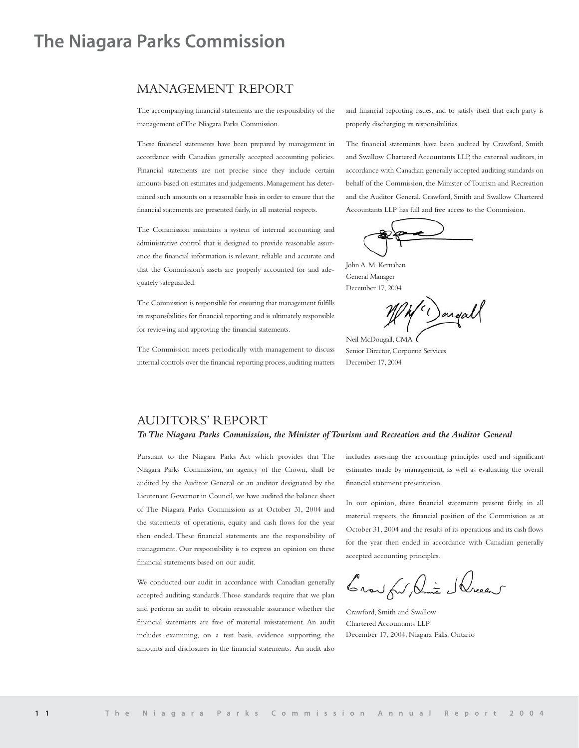# **The Niagara Parks Commission**

## MANAGEMENT REPORT

The accompanying financial statements are the responsibility of the management of The Niagara Parks Commission.

These financial statements have been prepared by management in accordance with Canadian generally accepted accounting policies. Financial statements are not precise since they include certain amounts based on estimates and judgements.Management has determined such amounts on a reasonable basis in order to ensure that the financial statements are presented fairly, in all material respects.

The Commission maintains a system of internal accounting and administrative control that is designed to provide reasonable assurance the financial information is relevant, reliable and accurate and that the Commission's assets are properly accounted for and adequately safeguarded.

The Commission is responsible for ensuring that management fulfills its responsibilities for financial reporting and is ultimately responsible for reviewing and approving the financial statements.

The Commission meets periodically with management to discuss internal controls over the financial reporting process, auditing matters and financial reporting issues, and to satisfy itself that each party is properly discharging its responsibilities.

The financial statements have been audited by Crawford, Smith and Swallow Chartered Accountants LLP, the external auditors, in accordance with Canadian generally accepted auditing standards on behalf of the Commission, the Minister of Tourism and Recreation and the Auditor General. Crawford, Smith and Swallow Chartered Accountants LLP has full and free access to the Commission.

John A. M. Kernahan General Manager December 17, 2004

(c) ongall

Neil McDougall, CMA Senior Director, Corporate Services December 17, 2004

## AUDITORS' REPORT

## *ToThe Niagara Parks Commission, the Minister of Tourism and Recreation and the Auditor General*

Pursuant to the Niagara Parks Act which provides that The Niagara Parks Commission, an agency of the Crown, shall be audited by the Auditor General or an auditor designated by the Lieutenant Governor in Council, we have audited the balance sheet of The Niagara Parks Commission as at October 31, 2004 and the statements of operations, equity and cash flows for the year then ended. These financial statements are the responsibility of management. Our responsibility is to express an opinion on these financial statements based on our audit.

We conducted our audit in accordance with Canadian generally accepted auditing standards.Those standards require that we plan and perform an audit to obtain reasonable assurance whether the financial statements are free of material misstatement. An audit includes examining, on a test basis, evidence supporting the amounts and disclosures in the financial statements. An audit also includes assessing the accounting principles used and significant estimates made by management, as well as evaluating the overall financial statement presentation.

In our opinion, these financial statements present fairly, in all material respects, the financial position of the Commission as at October 31, 2004 and the results of its operations and its cash flows for the year then ended in accordance with Canadian generally accepted accounting principles.

Crow for Die Slucent

Crawford, Smith and Swallow Chartered Accountants LLP December 17, 2004, Niagara Falls, Ontario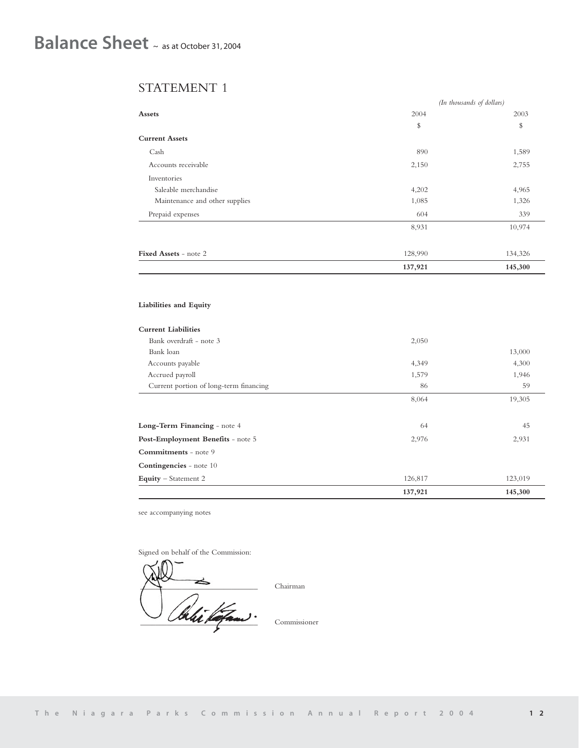## STATEMENT 1

|                                | (In thousands of dollars) |         |  |
|--------------------------------|---------------------------|---------|--|
| <b>Assets</b>                  | 2004                      | 2003    |  |
|                                | \$                        | \$      |  |
| <b>Current Assets</b>          |                           |         |  |
| Cash                           | 890                       | 1,589   |  |
| Accounts receivable            | 2,150                     | 2,755   |  |
| Inventories                    |                           |         |  |
| Saleable merchandise           | 4,202                     | 4,965   |  |
| Maintenance and other supplies | 1,085                     | 1,326   |  |
| Prepaid expenses               | 604                       | 339     |  |
|                                | 8,931                     | 10,974  |  |
| Fixed Assets - note 2          | 128,990                   | 134,326 |  |
|                                | 137,921                   | 145,300 |  |

## **Liabilities and Equity**

| <b>Current Liabilities</b>             |         |         |
|----------------------------------------|---------|---------|
| Bank overdraft - note 3                | 2,050   |         |
| Bank loan                              |         | 13,000  |
| Accounts payable                       | 4,349   | 4,300   |
| Accrued payroll                        | 1,579   | 1,946   |
| Current portion of long-term financing | 86      | 59      |
|                                        | 8,064   | 19,305  |
|                                        |         |         |
| Long-Term Financing - note 4           | 64      | 45      |
| Post-Employment Benefits - note 5      | 2,976   | 2,931   |
| <b>Commitments</b> - note 9            |         |         |
| <b>Contingencies</b> - note 10         |         |         |
| Equity – Statement 2                   | 126,817 | 123,019 |
|                                        | 137,921 | 145,300 |

see accompanying notes

Signed on behalf of the Commission:

 $\bigwedge \bigwedge$  Chairman Commissioner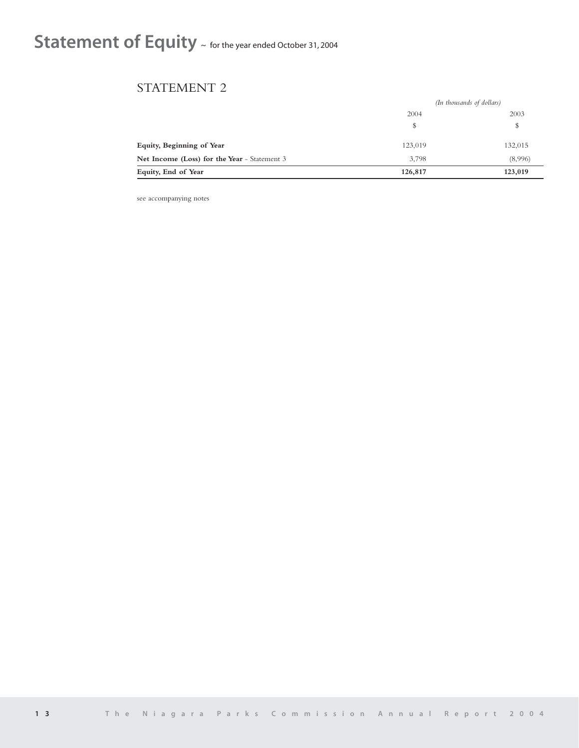# Statement of Equity ~ for the year ended October 31, 2004

## STATEMENT 2

|                                              | (In thousands of dollars) |         |
|----------------------------------------------|---------------------------|---------|
|                                              | 2004                      | 2003    |
|                                              | \$                        | \$      |
| Equity, Beginning of Year                    | 123,019                   | 132,015 |
| Net Income (Loss) for the Year - Statement 3 | 3.798                     | (8,996) |
| Equity, End of Year                          | 126,817                   | 123,019 |

see accompanying notes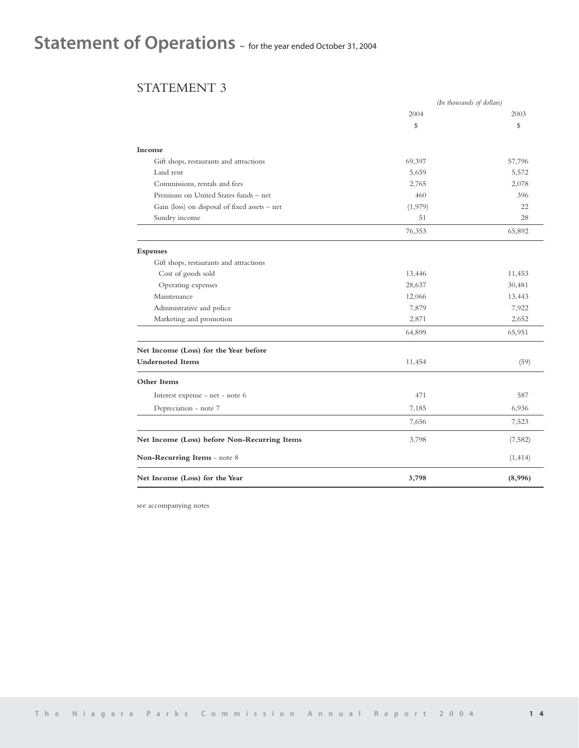# Statement of Operations  $\sim$  for the year ended October 31, 2004

## STATEMENT 3

|                                               |         | (In thousands of dollars) |
|-----------------------------------------------|---------|---------------------------|
|                                               | 2004    | 2003                      |
|                                               | \$      | \$                        |
| Income                                        |         |                           |
| Gift shops, restaurants and attractions       | 69,397  | 57,796                    |
| Land rent                                     | 5,659   | 5,572                     |
| Commissions, rentals and fees                 | 2,765   | 2,078                     |
| Premium on United States funds - net          | 460     | 396                       |
| Gain (loss) on disposal of fixed assets - net | (1,979) | 22                        |
| Sundry income                                 | 51      | 28                        |
|                                               | 76,353  | 65,892                    |
| <b>Expenses</b>                               |         |                           |
| Gift shops, restaurants and attractions       |         |                           |
| Cost of goods sold                            | 13,446  | 11,453                    |
| Operating expenses                            | 28,637  | 30,481                    |
| Maintenance                                   | 12,066  | 13,443                    |
| Administrative and police                     | 7,879   | 7,922                     |
| Marketing and promotion                       | 2,871   | 2,652                     |
|                                               | 64,899  | 65,951                    |
| Net Income (Loss) for the Year before         |         |                           |
| <b>Undernoted Items</b>                       | 11,454  | (59)                      |
| Other Items                                   |         |                           |
| Interest expense - net - note 6               | 471     | 587                       |
| Depreciation - note 7                         | 7,185   | 6,936                     |
|                                               | 7,656   | 7,523                     |
| Net Income (Loss) before Non-Recurring Items  | 3,798   | (7, 582)                  |
| Non-Recurring Items - note 8                  |         | (1, 414)                  |
| Net Income (Loss) for the Year                | 3,798   | (8,996)                   |

see accompanying notes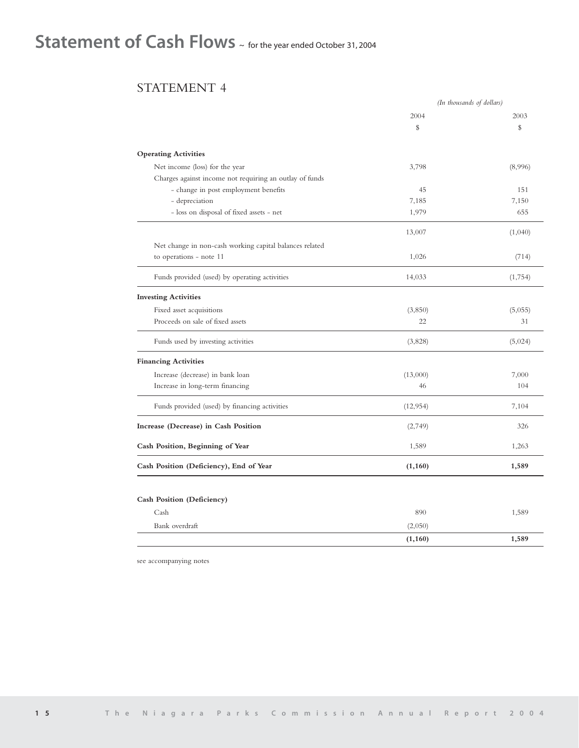# Statement of Cash Flows ~ for the year ended October 31, 2004

## STATEMENT 4

|                                                         |           | (In thousands of dollars) |
|---------------------------------------------------------|-----------|---------------------------|
|                                                         | 2004      | 2003                      |
|                                                         | \$        | \$                        |
| <b>Operating Activities</b>                             |           |                           |
| Net income (loss) for the year                          | 3,798     | (8,996)                   |
| Charges against income not requiring an outlay of funds |           |                           |
| - change in post employment benefits                    | 45        | 151                       |
| - depreciation                                          | 7,185     | 7,150                     |
| - loss on disposal of fixed assets - net                | 1,979     | 655                       |
|                                                         | 13,007    | (1,040)                   |
| Net change in non-cash working capital balances related |           |                           |
| to operations - note 11                                 | 1,026     | (714)                     |
| Funds provided (used) by operating activities           | 14,033    | (1,754)                   |
| <b>Investing Activities</b>                             |           |                           |
| Fixed asset acquisitions                                | (3,850)   | (5,055)                   |
| Proceeds on sale of fixed assets                        | 22        | 31                        |
| Funds used by investing activities                      | (3,828)   | (5,024)                   |
| <b>Financing Activities</b>                             |           |                           |
| Increase (decrease) in bank loan                        | (13,000)  | 7,000                     |
| Increase in long-term financing                         | 46        | 104                       |
| Funds provided (used) by financing activities           | (12, 954) | 7,104                     |
| Increase (Decrease) in Cash Position                    | (2,749)   | 326                       |
| Cash Position, Beginning of Year                        | 1,589     | 1,263                     |
| Cash Position (Deficiency), End of Year                 | (1, 160)  | 1,589                     |
|                                                         |           |                           |
| Cash Position (Deficiency)                              |           |                           |
| Cash                                                    | 890       | 1,589                     |
| Bank overdraft                                          | (2,050)   |                           |
|                                                         | (1, 160)  | 1,589                     |

see accompanying notes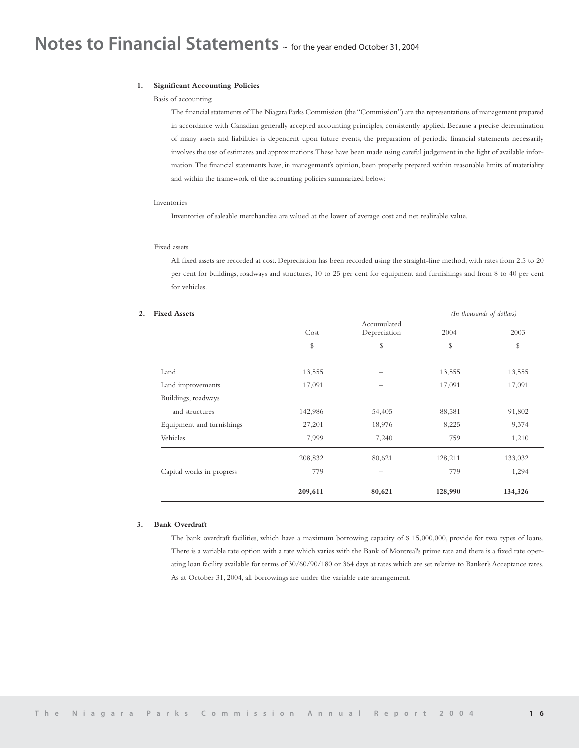# **Notes to Financial Statements** ~ for the year ended October 31, 2004

#### **1. Significant Accounting Policies**

#### Basis of accounting

The financial statements of The Niagara Parks Commission (the "Commission") are the representations of management prepared in accordance with Canadian generally accepted accounting principles, consistently applied. Because a precise determination of many assets and liabilities is dependent upon future events, the preparation of periodic financial statements necessarily involves the use of estimates and approximations.These have been made using careful judgement in the light of available information.The financial statements have, in management's opinion, been properly prepared within reasonable limits of materiality and within the framework of the accounting policies summarized below:

#### Inventories

Inventories of saleable merchandise are valued at the lower of average cost and net realizable value.

## Fixed assets

All fixed assets are recorded at cost. Depreciation has been recorded using the straight-line method, with rates from 2.5 to 20 per cent for buildings, roadways and structures, 10 to 25 per cent for equipment and furnishings and from 8 to 40 per cent for vehicles.

|         |                             | (In thousands of dollars) |         |
|---------|-----------------------------|---------------------------|---------|
| Cost    | Accumulated<br>Depreciation | 2004                      | 2003    |
| \$      | \$                          | \$                        | \$      |
| 13,555  |                             | 13,555                    | 13,555  |
| 17,091  | -                           | 17,091                    | 17,091  |
|         |                             |                           |         |
| 142,986 | 54,405                      | 88,581                    | 91,802  |
| 27,201  | 18,976                      | 8,225                     | 9,374   |
| 7,999   | 7,240                       | 759                       | 1,210   |
| 208,832 | 80,621                      | 128,211                   | 133,032 |
| 779     |                             | 779                       | 1,294   |
| 209,611 | 80,621                      | 128,990                   | 134,326 |
|         |                             |                           |         |

## **3. Bank Overdraft**

The bank overdraft facilities, which have a maximum borrowing capacity of \$ 15,000,000, provide for two types of loans. There is a variable rate option with a rate which varies with the Bank of Montreal's prime rate and there is a fixed rate operating loan facility available for terms of 30/60/90/180 or 364 days at rates which are set relative to Banker's Acceptance rates. As at October 31, 2004, all borrowings are under the variable rate arrangement.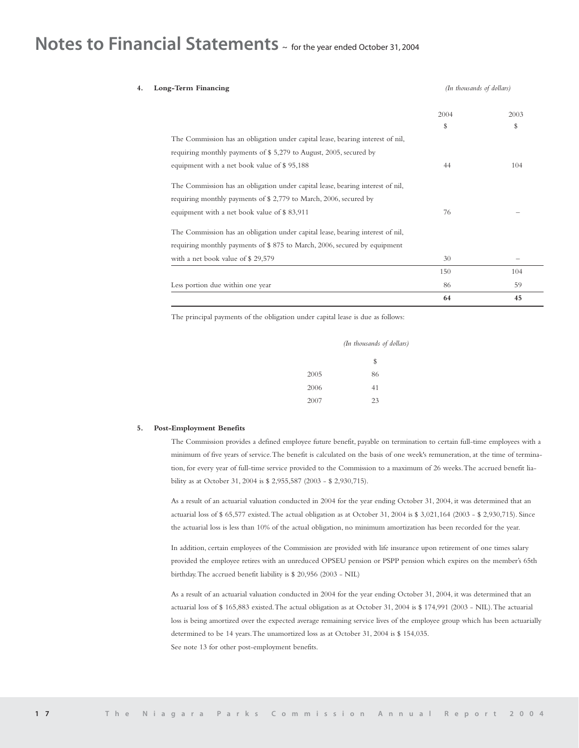# **Notes to Financial Statements** ~ for the year ended October 31, 2004

| Long-Term Financing                                                            | (In thousands of dollars) |      |
|--------------------------------------------------------------------------------|---------------------------|------|
|                                                                                | 2004                      | 2003 |
|                                                                                | \$                        | s    |
| The Commission has an obligation under capital lease, bearing interest of nil, |                           |      |
| requiring monthly payments of \$5,279 to August, 2005, secured by              |                           |      |
| equipment with a net book value of \$95,188                                    | 44                        | 104  |
| The Commission has an obligation under capital lease, bearing interest of nil, |                           |      |
| requiring monthly payments of $$2,779$ to March, 2006, secured by              |                           |      |
| equipment with a net book value of \$83,911                                    | 76                        |      |
| The Commission has an obligation under capital lease, bearing interest of nil, |                           |      |
| requiring monthly payments of \$875 to March, 2006, secured by equipment       |                           |      |
| with a net book value of \$29,579                                              | 30                        |      |
|                                                                                | 150                       | 104  |
| Less portion due within one year                                               | 86                        | 59   |
|                                                                                | 64                        | 45   |

The principal payments of the obligation under capital lease is due as follows:

|      | (In thousands of dollars) |
|------|---------------------------|
|      | \$                        |
| 2005 | 86                        |
| 2006 | 41                        |
| 2007 | 23                        |

#### **5. Post-Employment Benefits**

The Commission provides a defined employee future benefit, payable on termination to certain full-time employees with a minimum of five years of service.The benefit is calculated on the basis of one week's remuneration, at the time of termination, for every year of full-time service provided to the Commission to a maximum of 26 weeks.The accrued benefit liability as at October 31, 2004 is \$ 2,955,587 (2003 - \$ 2,930,715).

As a result of an actuarial valuation conducted in 2004 for the year ending October 31, 2004, it was determined that an actuarial loss of \$ 65,577 existed.The actual obligation as at October 31, 2004 is \$ 3,021,164 (2003 - \$ 2,930,715). Since the actuarial loss is less than 10% of the actual obligation, no minimum amortization has been recorded for the year.

In addition, certain employees of the Commission are provided with life insurance upon retirement of one times salary provided the employee retires with an unreduced OPSEU pension or PSPP pension which expires on the member's 65th birthday.The accrued benefit liability is \$ 20,956 (2003 - NIL)

As a result of an actuarial valuation conducted in 2004 for the year ending October 31, 2004, it was determined that an actuarial loss of \$ 165,883 existed.The actual obligation as at October 31, 2004 is \$ 174,991 (2003 - NIL).The actuarial loss is being amortized over the expected average remaining service lives of the employee group which has been actuarially determined to be 14 years.The unamortized loss as at October 31, 2004 is \$ 154,035. See note 13 for other post-employment benefits.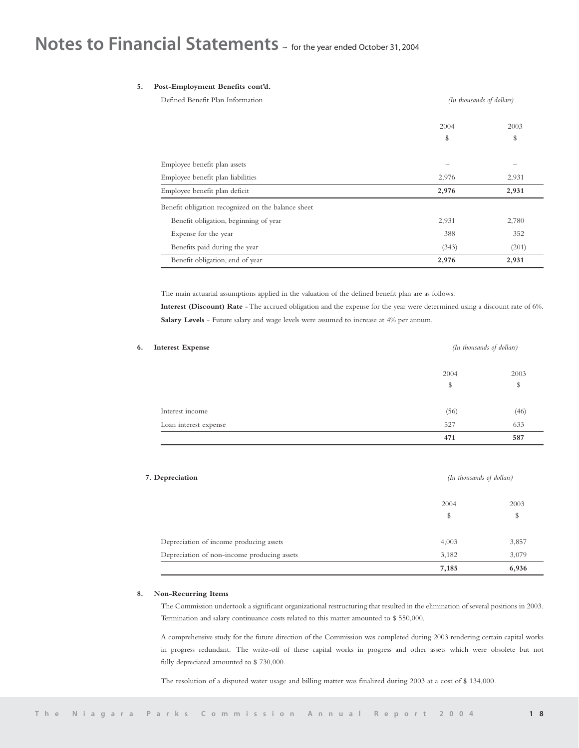# **Notes to Financial Statements** ~ for the year ended October 31, 2004

## **5. Post-Employment Benefits cont'd.**

| Defined Benefit Plan Information                   | (In thousands of dollars) |       |  |
|----------------------------------------------------|---------------------------|-------|--|
|                                                    | 2004                      | 2003  |  |
|                                                    | \$                        | \$    |  |
|                                                    |                           |       |  |
| Employee benefit plan assets                       |                           |       |  |
| Employee benefit plan liabilities                  | 2,976                     | 2,931 |  |
| Employee benefit plan deficit                      | 2,976                     | 2,931 |  |
| Benefit obligation recognized on the balance sheet |                           |       |  |
| Benefit obligation, beginning of year              | 2,931                     | 2,780 |  |
| Expense for the year                               | 388                       | 352   |  |
| Benefits paid during the year                      | (343)                     | (201) |  |
| Benefit obligation, end of year                    | 2,976                     | 2,931 |  |

The main actuarial assumptions applied in the valuation of the defined benefit plan are as follows:

**Interest (Discount) Rate** - The accrued obligation and the expense for the year were determined using a discount rate of 6%. Salary Levels - Future salary and wage levels were assumed to increase at 4% per annum.

| <b>Interest Expense</b> |      | (In thousands of dollars) |
|-------------------------|------|---------------------------|
|                         | 2004 | 2003                      |
|                         | \$   | \$                        |
| Interest income         | (56) | (46)                      |
| Loan interest expense   | 527  | 633                       |
|                         | 471  | 587                       |

## **7. Depreciation** *(In thousands of dollars)*

|                                             | 7,185 | 6,936 |
|---------------------------------------------|-------|-------|
| Depreciation of non-income producing assets | 3,182 | 3,079 |
| Depreciation of income producing assets     | 4,003 | 3,857 |
|                                             | \$    | \$    |
|                                             | 2004  | 2003  |
|                                             |       |       |

#### **8. Non-Recurring Items**

The Commission undertook a significant organizational restructuring that resulted in the elimination of several positions in 2003. Termination and salary continuance costs related to this matter amounted to \$ 550,000.

A comprehensive study for the future direction of the Commission was completed during 2003 rendering certain capital works in progress redundant. The write-off of these capital works in progress and other assets which were obsolete but not fully depreciated amounted to \$ 730,000.

The resolution of a disputed water usage and billing matter was finalized during 2003 at a cost of \$ 134,000.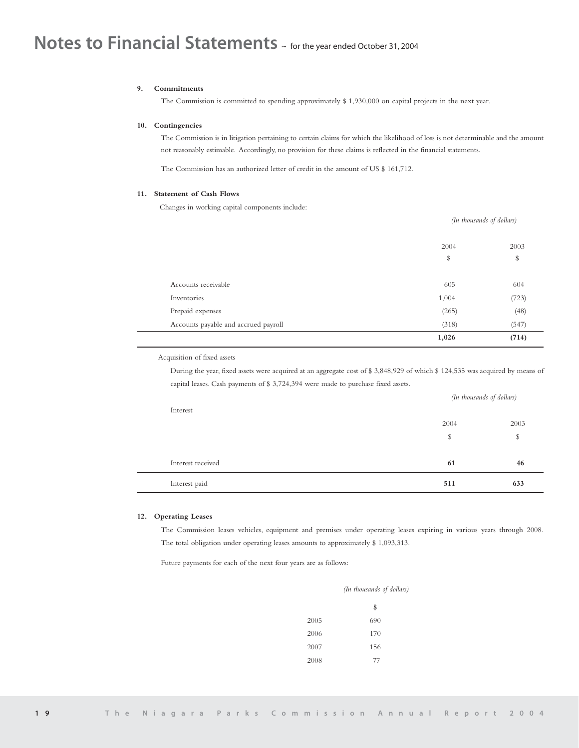## **9. Commitments**

The Commission is committed to spending approximately \$ 1,930,000 on capital projects in the next year.

## **10. Contingencies**

The Commission is in litigation pertaining to certain claims for which the likelihood of loss is not determinable and the amount not reasonably estimable. Accordingly, no provision for these claims is reflected in the financial statements.

 $(II, J, I, I, I, I)$ 

The Commission has an authorized letter of credit in the amount of US \$ 161,712.

## **11. Statement of Cash Flows**

Changes in working capital components include:

|                                      | (In thousands of dollars) |       |
|--------------------------------------|---------------------------|-------|
|                                      | 2004                      | 2003  |
|                                      | \$                        | \$    |
| Accounts receivable                  | 605                       | 604   |
| Inventories                          | 1,004                     | (723) |
| Prepaid expenses                     | (265)                     | (48)  |
| Accounts payable and accrued payroll | (318)                     | (547) |
|                                      | 1,026                     | (714) |
|                                      |                           |       |

Acquisition of fixed assets

During the year, fixed assets were acquired at an aggregate cost of \$ 3,848,929 of which \$ 124,535 was acquired by means of capital leases. Cash payments of \$ 3,724,394 were made to purchase fixed assets.

| Interest          |      | (In thousands of dollars) |  |
|-------------------|------|---------------------------|--|
|                   | 2004 | 2003                      |  |
|                   | \$   | \$                        |  |
| Interest received | 61   | 46                        |  |
| Interest paid     | 511  | 633                       |  |

## **12. Operating Leases**

The Commission leases vehicles, equipment and premises under operating leases expiring in various years through 2008. The total obligation under operating leases amounts to approximately \$ 1,093,313.

Future payments for each of the next four years are as follows:

|      | (In thousands of dollars) |  |  |
|------|---------------------------|--|--|
|      | \$                        |  |  |
| 2005 | 690                       |  |  |
| 2006 | 170                       |  |  |
| 2007 | 156                       |  |  |
| 2008 | 77                        |  |  |
|      |                           |  |  |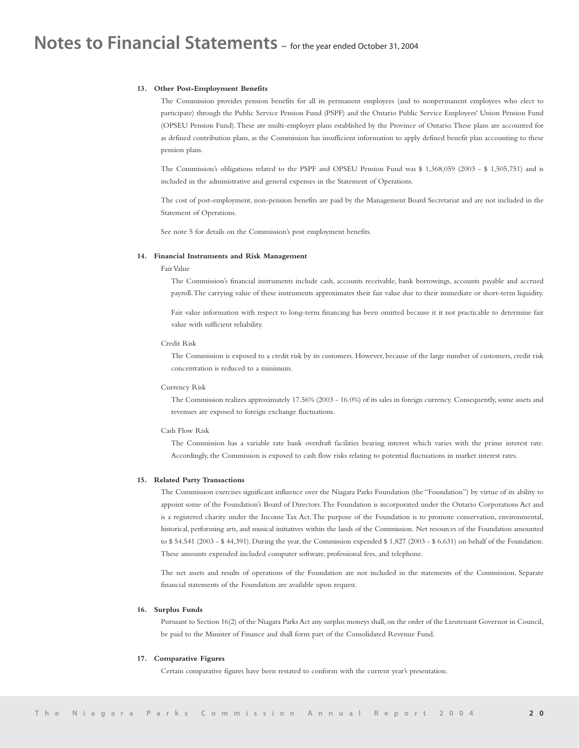#### **13. Other Post-Employment Benefits**

The Commission provides pension benefits for all its permanent employees (and to nonpermanent employees who elect to participate) through the Public Service Pension Fund (PSPF) and the Ontario Public Service Employees' Union Pension Fund (OPSEU Pension Fund).These are multi-employer plans established by the Province of Ontario.These plans are accounted for as defined contribution plans, as the Commission has insufficient information to apply defined benefit plan accounting to these pension plans.

The Commission's obligations related to the PSPF and OPSEU Pension Fund was \$ 1,368,059 (2003 - \$ 1,505,751) and is included in the administrative and general expenses in the Statement of Operations.

The cost of post-employment, non-pension benefits are paid by the Management Board Secretariat and are not included in the Statement of Operations.

See note 5 for details on the Commission's post employment benefits.

#### **14. Financial Instruments and Risk Management**

## Fair Value

The Commission's financial instruments include cash, accounts receivable, bank borrowings, accounts payable and accrued payroll.The carrying value of these instruments approximates their fair value due to their immediate or short-term liquidity.

Fair value information with respect to long-term financing has been omitted because it it not practicable to determine fair value with sufficient reliability.

## Credit Risk

The Commission is exposed to a credit risk by its customers. However, because of the large number of customers, credit risk concentration is reduced to a minimum.

## Currency Risk

The Commission realizes approximately 17.56% (2003 - 16.0%) of its sales in foreign currency. Consequently, some assets and revenues are exposed to foreign exchange fluctuations.

#### Cash Flow Risk

The Commission has a variable rate bank overdraft facilities bearing interest which varies with the prime interest rate. Accordingly, the Commission is exposed to cash flow risks relating to potential fluctuations in market interest rates.

#### **15. Related Party Transactions**

The Commission exercises significant influence over the Niagara Parks Foundation (the "Foundation") by virtue of its ability to appoint some of the Foundation's Board of Directors.The Foundation is incorporated under the Ontario Corporations Act and is a registered charity under the Income Tax Act. The purpose of the Foundation is to promote conservation, environmental, historical, performing arts, and musical initiatives within the lands of the Commission. Net resources of the Foundation amounted to \$ 54,541 (2003 - \$ 44,391). During the year, the Commission expended \$ 1,827 (2003 - \$ 6,631) on behalf of the Foundation. These amounts expended included computer software, professional fees, and telephone.

The net assets and results of operations of the Foundation are not included in the statements of the Commission. Separate financial statements of the Foundation are available upon request.

#### **16. Surplus Funds**

Pursuant to Section 16(2) of the Niagara Parks Act any surplus moneys shall, on the order of the Lieutenant Governor in Council, be paid to the Minister of Finance and shall form part of the Consolidated Revenue Fund.

## **17. Comparative Figures**

Certain comparative figures have been restated to conform with the current year's presentation.